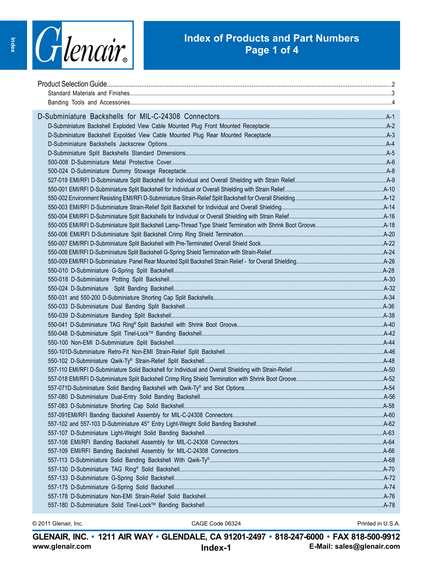

### **Index of Products and Part Numbers Page 1 of 4**

© 2011 Glenair, Inc. CAGE Code 06324 Printed in U.S.A.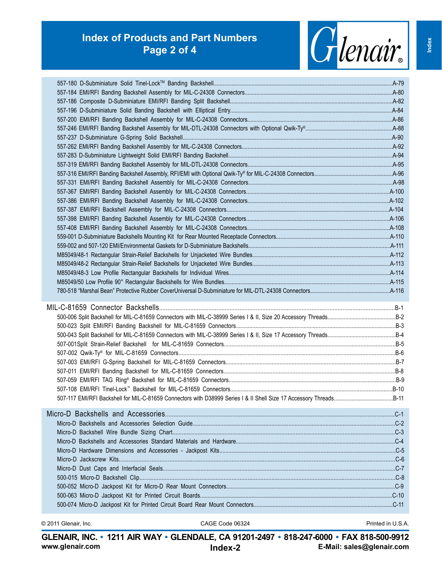## **Index of Products and Part Numbers Page 2 of 4**



**www.glenair.com E-Mail: sales@glenair.com GLENAIR, INC. • 1211 AIR WAY • GLENDALE, CA 91201-2497 • 818-247-6000 • FAX 818-500-9912 Index-2**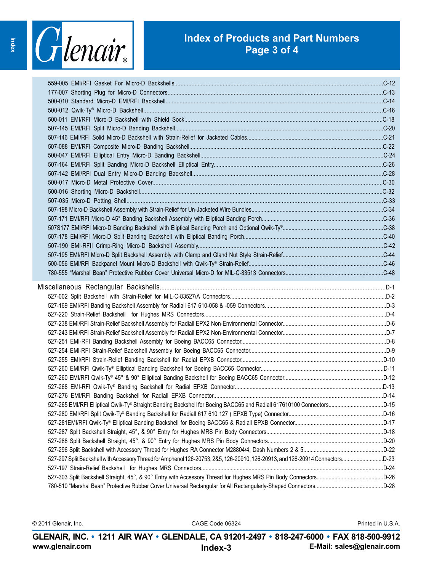

### **Index of Products and Part Numbers Page 3 of 4**

| 527-297 Split Backshell with Accessory Thread for Amphenol 126-20753, 285, 126-20910, 126-20913, and 126-20914 ConnectorsD-23 |  |
|-------------------------------------------------------------------------------------------------------------------------------|--|
|                                                                                                                               |  |
|                                                                                                                               |  |
|                                                                                                                               |  |
|                                                                                                                               |  |

© 2011 Glenair, Inc. CAGE Code 06324 Printed in U.S.A.